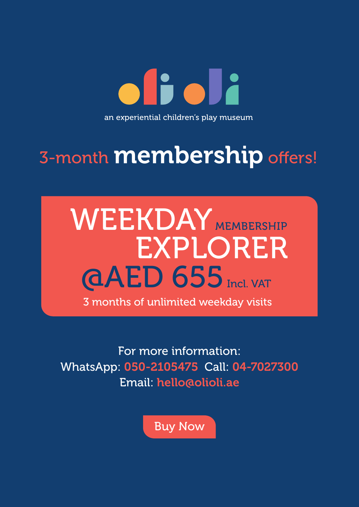oficia an experiential children's play museum

# 3-month **membership** offers!

# **@AED 655** Incl. VAT EXPLORER WEEKDAY MEMBERSHIP 3 months of unlimited weekday visits

For more information: WhatsApp: 050-2105475 Call: 04-7027300 Email: hello@olioli.ae